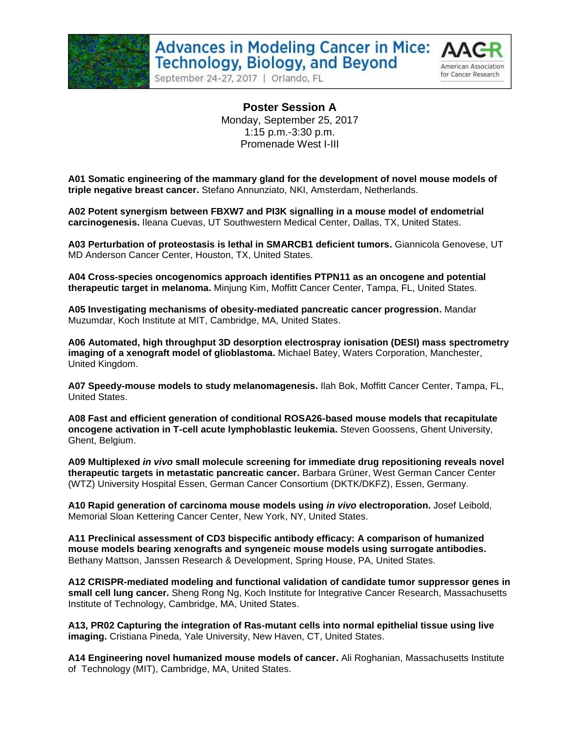

American Association for Cancer Research

September 24-27, 2017 | Orlando, FL

**Poster Session A** Monday, September 25, 2017 1:15 p.m.-3:30 p.m. Promenade West I-III

**A01 Somatic engineering of the mammary gland for the development of novel mouse models of triple negative breast cancer.** Stefano Annunziato, NKI, Amsterdam, Netherlands.

**A02 Potent synergism between FBXW7 and PI3K signalling in a mouse model of endometrial carcinogenesis.** Ileana Cuevas, UT Southwestern Medical Center, Dallas, TX, United States.

**A03 Perturbation of proteostasis is lethal in SMARCB1 deficient tumors.** Giannicola Genovese, UT MD Anderson Cancer Center, Houston, TX, United States.

**A04 Cross-species oncogenomics approach identifies PTPN11 as an oncogene and potential therapeutic target in melanoma.** Minjung Kim, Moffitt Cancer Center, Tampa, FL, United States.

**A05 Investigating mechanisms of obesity-mediated pancreatic cancer progression.** Mandar Muzumdar, Koch Institute at MIT, Cambridge, MA, United States.

**A06 Automated, high throughput 3D desorption electrospray ionisation (DESI) mass spectrometry imaging of a xenograft model of glioblastoma.** Michael Batey, Waters Corporation, Manchester, United Kingdom.

**A07 Speedy-mouse models to study melanomagenesis.** Ilah Bok, Moffitt Cancer Center, Tampa, FL, United States.

**A08 Fast and efficient generation of conditional ROSA26-based mouse models that recapitulate oncogene activation in T-cell acute lymphoblastic leukemia.** Steven Goossens, Ghent University, Ghent, Belgium.

**A09 Multiplexed** *in vivo* **small molecule screening for immediate drug repositioning reveals novel therapeutic targets in metastatic pancreatic cancer.** Barbara Grüner, West German Cancer Center (WTZ) University Hospital Essen, German Cancer Consortium (DKTK/DKFZ), Essen, Germany.

**A10 Rapid generation of carcinoma mouse models using** *in vivo* **electroporation.** Josef Leibold, Memorial Sloan Kettering Cancer Center, New York, NY, United States.

**A11 Preclinical assessment of CD3 bispecific antibody efficacy: A comparison of humanized mouse models bearing xenografts and syngeneic mouse models using surrogate antibodies.**  Bethany Mattson, Janssen Research & Development, Spring House, PA, United States.

**A12 CRISPR-mediated modeling and functional validation of candidate tumor suppressor genes in small cell lung cancer.** Sheng Rong Ng, Koch Institute for Integrative Cancer Research, Massachusetts Institute of Technology, Cambridge, MA, United States.

**A13, PR02 Capturing the integration of Ras-mutant cells into normal epithelial tissue using live imaging.** Cristiana Pineda, Yale University, New Haven, CT, United States.

**A14 Engineering novel humanized mouse models of cancer.** Ali Roghanian, Massachusetts Institute of Technology (MIT), Cambridge, MA, United States.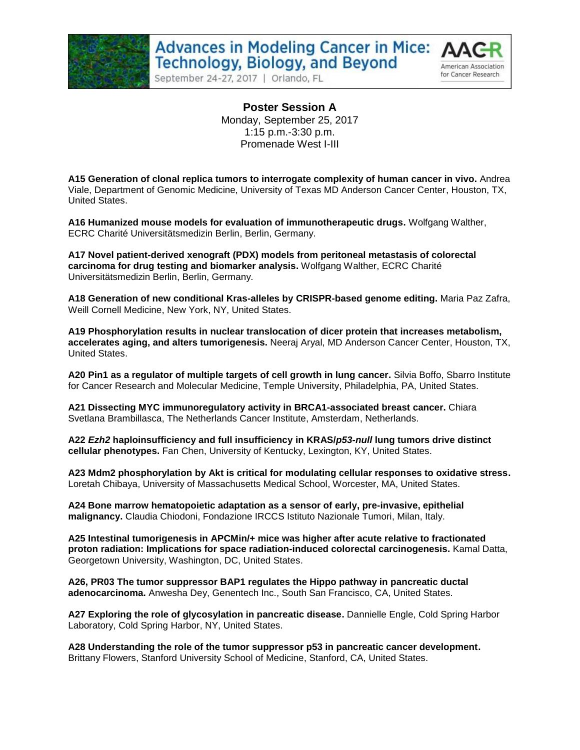

September 24-27, 2017 | Orlando, FL



**Poster Session A** Monday, September 25, 2017 1:15 p.m.-3:30 p.m. Promenade West I-III

**A15 Generation of clonal replica tumors to interrogate complexity of human cancer in vivo.** Andrea Viale, Department of Genomic Medicine, University of Texas MD Anderson Cancer Center, Houston, TX, United States.

**A16 Humanized mouse models for evaluation of immunotherapeutic drugs.** Wolfgang Walther, ECRC Charité Universitätsmedizin Berlin, Berlin, Germany.

**A17 Novel patient-derived xenograft (PDX) models from peritoneal metastasis of colorectal carcinoma for drug testing and biomarker analysis.** Wolfgang Walther, ECRC Charité Universitätsmedizin Berlin, Berlin, Germany.

**A18 Generation of new conditional Kras-alleles by CRISPR-based genome editing.** Maria Paz Zafra, Weill Cornell Medicine, New York, NY, United States.

**A19 Phosphorylation results in nuclear translocation of dicer protein that increases metabolism, accelerates aging, and alters tumorigenesis.** Neeraj Aryal, MD Anderson Cancer Center, Houston, TX, United States.

**A20 Pin1 as a regulator of multiple targets of cell growth in lung cancer.** Silvia Boffo, Sbarro Institute for Cancer Research and Molecular Medicine, Temple University, Philadelphia, PA, United States.

**A21 Dissecting MYC immunoregulatory activity in BRCA1-associated breast cancer.** Chiara Svetlana Brambillasca, The Netherlands Cancer Institute, Amsterdam, Netherlands.

**A22** *Ezh2* **haploinsufficiency and full insufficiency in KRAS/***p53-null* **lung tumors drive distinct cellular phenotypes.** Fan Chen, University of Kentucky, Lexington, KY, United States.

**A23 Mdm2 phosphorylation by Akt is critical for modulating cellular responses to oxidative stress.** Loretah Chibaya, University of Massachusetts Medical School, Worcester, MA, United States.

**A24 Bone marrow hematopoietic adaptation as a sensor of early, pre-invasive, epithelial malignancy.** Claudia Chiodoni, Fondazione IRCCS Istituto Nazionale Tumori, Milan, Italy.

**A25 Intestinal tumorigenesis in APCMin/+ mice was higher after acute relative to fractionated proton radiation: Implications for space radiation-induced colorectal carcinogenesis.** Kamal Datta, Georgetown University, Washington, DC, United States.

**A26, PR03 The tumor suppressor BAP1 regulates the Hippo pathway in pancreatic ductal adenocarcinoma.** Anwesha Dey, Genentech Inc., South San Francisco, CA, United States.

**A27 Exploring the role of glycosylation in pancreatic disease.** Dannielle Engle, Cold Spring Harbor Laboratory, Cold Spring Harbor, NY, United States.

**A28 Understanding the role of the tumor suppressor p53 in pancreatic cancer development.**  Brittany Flowers, Stanford University School of Medicine, Stanford, CA, United States.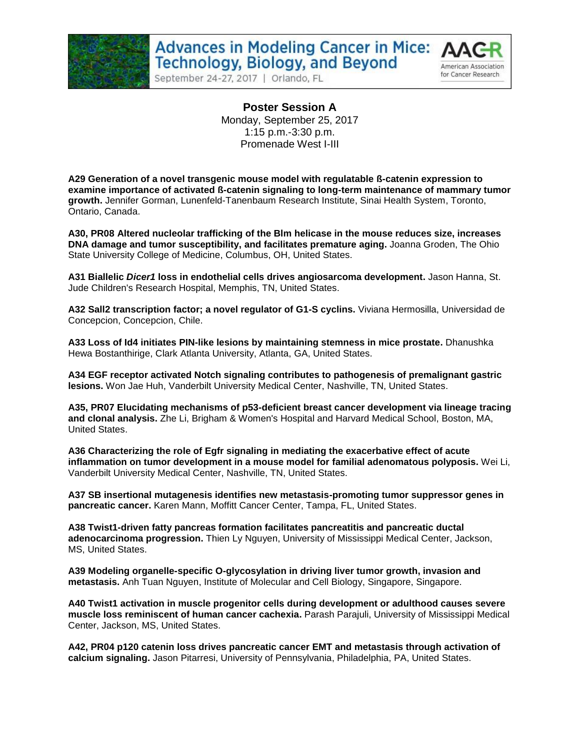

September 24-27, 2017 | Orlando, FL



**Poster Session A** Monday, September 25, 2017 1:15 p.m.-3:30 p.m. Promenade West I-III

**A29 Generation of a novel transgenic mouse model with regulatable ß-catenin expression to examine importance of activated ß-catenin signaling to long-term maintenance of mammary tumor growth.** Jennifer Gorman, Lunenfeld-Tanenbaum Research Institute, Sinai Health System, Toronto, Ontario, Canada.

**A30, PR08 Altered nucleolar trafficking of the Blm helicase in the mouse reduces size, increases DNA damage and tumor susceptibility, and facilitates premature aging.** Joanna Groden, The Ohio State University College of Medicine, Columbus, OH, United States.

**A31 Biallelic** *Dicer1* **loss in endothelial cells drives angiosarcoma development.** Jason Hanna, St. Jude Children's Research Hospital, Memphis, TN, United States.

**A32 Sall2 transcription factor; a novel regulator of G1-S cyclins.** Viviana Hermosilla, Universidad de Concepcion, Concepcion, Chile.

**A33 Loss of Id4 initiates PIN-like lesions by maintaining stemness in mice prostate.** Dhanushka Hewa Bostanthirige, Clark Atlanta University, Atlanta, GA, United States.

**A34 EGF receptor activated Notch signaling contributes to pathogenesis of premalignant gastric lesions.** Won Jae Huh, Vanderbilt University Medical Center, Nashville, TN, United States.

**A35, PR07 Elucidating mechanisms of p53-deficient breast cancer development via lineage tracing and clonal analysis.** Zhe Li, Brigham & Women's Hospital and Harvard Medical School, Boston, MA, United States.

**A36 Characterizing the role of Egfr signaling in mediating the exacerbative effect of acute inflammation on tumor development in a mouse model for familial adenomatous polyposis.** Wei Li, Vanderbilt University Medical Center, Nashville, TN, United States.

**A37 SB insertional mutagenesis identifies new metastasis-promoting tumor suppressor genes in pancreatic cancer.** Karen Mann, Moffitt Cancer Center, Tampa, FL, United States.

**A38 Twist1-driven fatty pancreas formation facilitates pancreatitis and pancreatic ductal adenocarcinoma progression.** Thien Ly Nguyen, University of Mississippi Medical Center, Jackson, MS, United States.

**A39 Modeling organelle-specific O-glycosylation in driving liver tumor growth, invasion and metastasis.** Anh Tuan Nguyen, Institute of Molecular and Cell Biology, Singapore, Singapore.

**A40 Twist1 activation in muscle progenitor cells during development or adulthood causes severe muscle loss reminiscent of human cancer cachexia.** Parash Parajuli, University of Mississippi Medical Center, Jackson, MS, United States.

**A42, PR04 p120 catenin loss drives pancreatic cancer EMT and metastasis through activation of calcium signaling.** Jason Pitarresi, University of Pennsylvania, Philadelphia, PA, United States.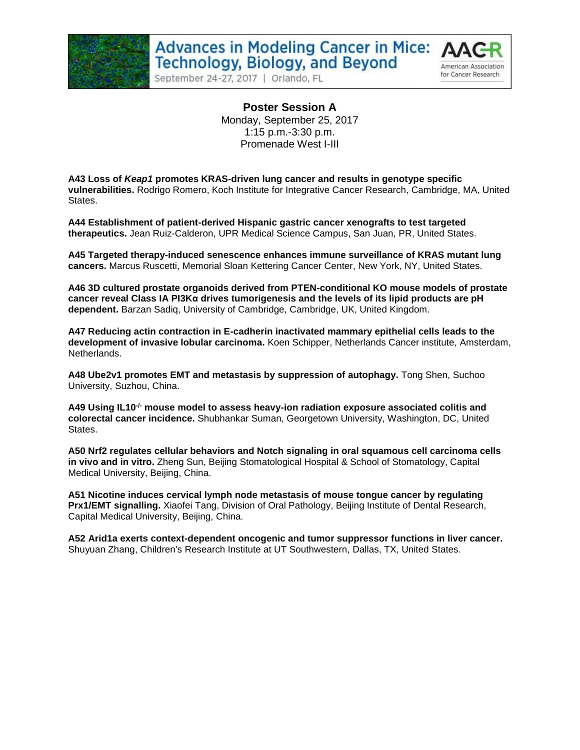

September 24-27, 2017 | Orlando, FL



**Poster Session A** Monday, September 25, 2017 1:15 p.m.-3:30 p.m. Promenade West I-III

**A43 Loss of** *Keap1* **promotes KRAS-driven lung cancer and results in genotype specific vulnerabilities.** Rodrigo Romero, Koch Institute for Integrative Cancer Research, Cambridge, MA, United States.

**A44 Establishment of patient-derived Hispanic gastric cancer xenografts to test targeted therapeutics.** Jean Ruiz-Calderon, UPR Medical Science Campus, San Juan, PR, United States.

**A45 Targeted therapy-induced senescence enhances immune surveillance of KRAS mutant lung cancers.** Marcus Ruscetti, Memorial Sloan Kettering Cancer Center, New York, NY, United States.

**A46 3D cultured prostate organoids derived from PTEN-conditional KO mouse models of prostate cancer reveal Class IA PI3Kα drives tumorigenesis and the levels of its lipid products are pH dependent.** Barzan Sadiq, University of Cambridge, Cambridge, UK, United Kingdom.

**A47 Reducing actin contraction in E-cadherin inactivated mammary epithelial cells leads to the development of invasive lobular carcinoma.** Koen Schipper, Netherlands Cancer institute, Amsterdam, Netherlands.

**A48 Ube2v1 promotes EMT and metastasis by suppression of autophagy.** Tong Shen, Suchoo University, Suzhou, China.

**A49 Using IL10-/- mouse model to assess heavy-ion radiation exposure associated colitis and colorectal cancer incidence.** Shubhankar Suman, Georgetown University, Washington, DC, United States.

**A50 Nrf2 regulates cellular behaviors and Notch signaling in oral squamous cell carcinoma cells in vivo and in vitro.** Zheng Sun, Beijing Stomatological Hospital & School of Stomatology, Capital Medical University, Beijing, China.

**A51 Nicotine induces cervical lymph node metastasis of mouse tongue cancer by regulating Prx1/EMT signalling.** Xiaofei Tang, Division of Oral Pathology, Beijing Institute of Dental Research, Capital Medical University, Beijing, China.

**A52 Arid1a exerts context-dependent oncogenic and tumor suppressor functions in liver cancer.** Shuyuan Zhang, Children's Research Institute at UT Southwestern, Dallas, TX, United States.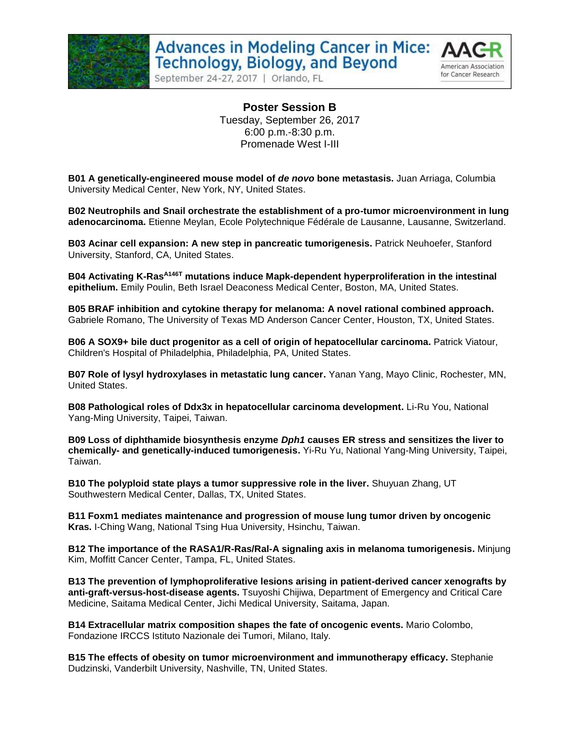



September 24-27, 2017 | Orlando, FL

**Poster Session B** Tuesday, September 26, 2017 6:00 p.m.-8:30 p.m. Promenade West I-III

**B01 A genetically-engineered mouse model of** *de novo* **bone metastasis.** Juan Arriaga, Columbia University Medical Center, New York, NY, United States.

**B02 Neutrophils and Snail orchestrate the establishment of a pro-tumor microenvironment in lung adenocarcinoma.** Etienne Meylan, Ecole Polytechnique Fédérale de Lausanne, Lausanne, Switzerland.

**B03 Acinar cell expansion: A new step in pancreatic tumorigenesis.** Patrick Neuhoefer, Stanford University, Stanford, CA, United States.

**B04 Activating K-Ras A146T mutations induce Mapk-dependent hyperproliferation in the intestinal epithelium.** Emily Poulin, Beth Israel Deaconess Medical Center, Boston, MA, United States.

**B05 BRAF inhibition and cytokine therapy for melanoma: A novel rational combined approach.**  Gabriele Romano, The University of Texas MD Anderson Cancer Center, Houston, TX, United States.

**B06 A SOX9+ bile duct progenitor as a cell of origin of hepatocellular carcinoma.** Patrick Viatour, Children's Hospital of Philadelphia, Philadelphia, PA, United States.

**B07 Role of lysyl hydroxylases in metastatic lung cancer.** Yanan Yang, Mayo Clinic, Rochester, MN, United States.

**B08 Pathological roles of Ddx3x in hepatocellular carcinoma development.** Li-Ru You, National Yang-Ming University, Taipei, Taiwan.

**B09 Loss of diphthamide biosynthesis enzyme** *Dph1* **causes ER stress and sensitizes the liver to chemically- and genetically-induced tumorigenesis.** Yi-Ru Yu, National Yang-Ming University, Taipei, Taiwan.

**B10 The polyploid state plays a tumor suppressive role in the liver.** Shuyuan Zhang, UT Southwestern Medical Center, Dallas, TX, United States.

**B11 Foxm1 mediates maintenance and progression of mouse lung tumor driven by oncogenic Kras.** I-Ching Wang, National Tsing Hua University, Hsinchu, Taiwan.

**B12 The importance of the RASA1/R-Ras/Ral-A signaling axis in melanoma tumorigenesis.** Minjung Kim, Moffitt Cancer Center, Tampa, FL, United States.

**B13 The prevention of lymphoproliferative lesions arising in patient-derived cancer xenografts by anti-graft-versus-host-disease agents.** Tsuyoshi Chijiwa, Department of Emergency and Critical Care Medicine, Saitama Medical Center, Jichi Medical University, Saitama, Japan.

**B14 Extracellular matrix composition shapes the fate of oncogenic events.** Mario Colombo, Fondazione IRCCS Istituto Nazionale dei Tumori, Milano, Italy.

**B15 The effects of obesity on tumor microenvironment and immunotherapy efficacy.** Stephanie Dudzinski, Vanderbilt University, Nashville, TN, United States.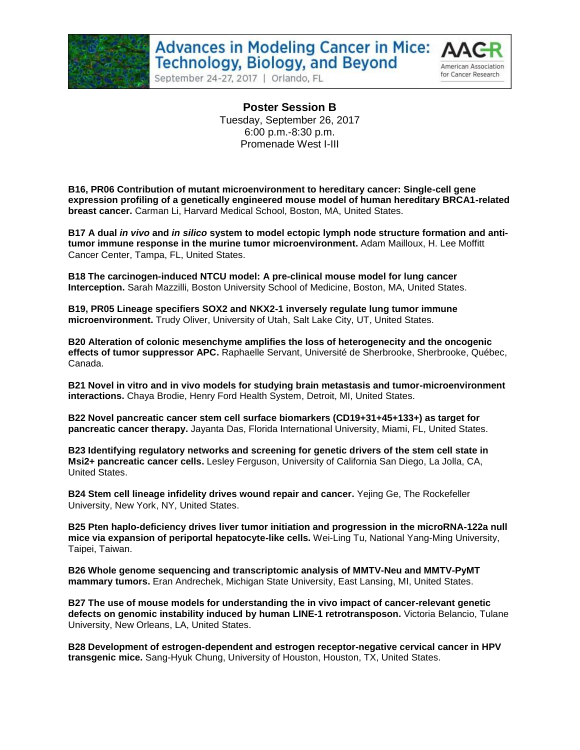



September 24-27, 2017 | Orlando, FL

**Poster Session B** Tuesday, September 26, 2017 6:00 p.m.-8:30 p.m. Promenade West I-III

**B16, PR06 Contribution of mutant microenvironment to hereditary cancer: Single-cell gene expression profiling of a genetically engineered mouse model of human hereditary BRCA1-related breast cancer.** Carman Li, Harvard Medical School, Boston, MA, United States.

**B17 A dual** *in vivo* **and** *in silico* **system to model ectopic lymph node structure formation and antitumor immune response in the murine tumor microenvironment.** Adam Mailloux, H. Lee Moffitt Cancer Center, Tampa, FL, United States.

**B18 The carcinogen-induced NTCU model: A pre-clinical mouse model for lung cancer Interception.** Sarah Mazzilli, Boston University School of Medicine, Boston, MA, United States.

**B19, PR05 Lineage specifiers SOX2 and NKX2-1 inversely regulate lung tumor immune microenvironment.** Trudy Oliver, University of Utah, Salt Lake City, UT, United States.

**B20 Alteration of colonic mesenchyme amplifies the loss of heterogenecity and the oncogenic effects of tumor suppressor APC.** Raphaelle Servant, Université de Sherbrooke, Sherbrooke, Québec, Canada.

**B21 Novel in vitro and in vivo models for studying brain metastasis and tumor-microenvironment interactions.** Chaya Brodie, Henry Ford Health System, Detroit, MI, United States.

**B22 Novel pancreatic cancer stem cell surface biomarkers (CD19+31+45+133+) as target for pancreatic cancer therapy.** Jayanta Das, Florida International University, Miami, FL, United States.

**B23 Identifying regulatory networks and screening for genetic drivers of the stem cell state in Msi2+ pancreatic cancer cells.** Lesley Ferguson, University of California San Diego, La Jolla, CA, United States.

**B24 Stem cell lineage infidelity drives wound repair and cancer.** Yejing Ge, The Rockefeller University, New York, NY, United States.

**B25 Pten haplo-deficiency drives liver tumor initiation and progression in the microRNA-122a null mice via expansion of periportal hepatocyte-like cells.** Wei-Ling Tu, National Yang-Ming University, Taipei, Taiwan.

**B26 Whole genome sequencing and transcriptomic analysis of MMTV-Neu and MMTV-PyMT mammary tumors.** Eran Andrechek, Michigan State University, East Lansing, MI, United States.

**B27 The use of mouse models for understanding the in vivo impact of cancer-relevant genetic defects on genomic instability induced by human LINE-1 retrotransposon.** Victoria Belancio, Tulane University, New Orleans, LA, United States.

**B28 Development of estrogen-dependent and estrogen receptor-negative cervical cancer in HPV transgenic mice.** Sang-Hyuk Chung, University of Houston, Houston, TX, United States.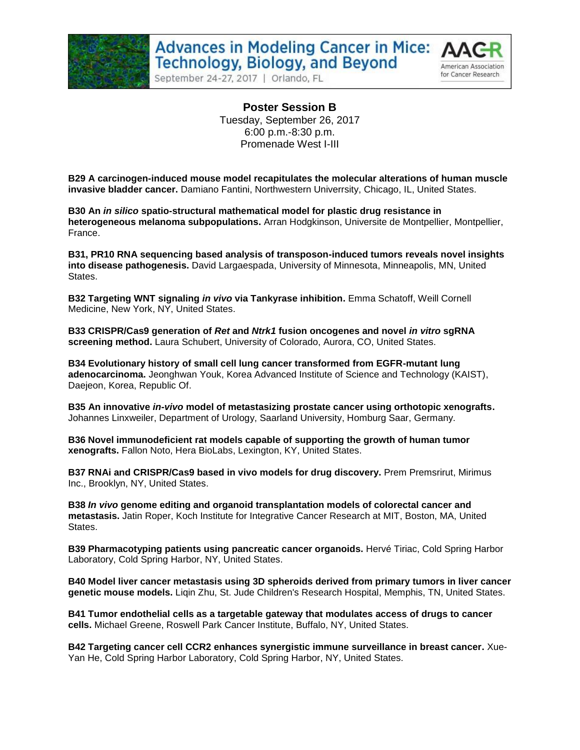

September 24-27, 2017 | Orlando, FL



**Poster Session B** Tuesday, September 26, 2017 6:00 p.m.-8:30 p.m. Promenade West I-III

**B29 A carcinogen-induced mouse model recapitulates the molecular alterations of human muscle invasive bladder cancer.** Damiano Fantini, Northwestern Univerrsity, Chicago, IL, United States.

**B30 An** *in silico* **spatio-structural mathematical model for plastic drug resistance in heterogeneous melanoma subpopulations.** Arran Hodgkinson, Universite de Montpellier, Montpellier, France.

**B31, PR10 RNA sequencing based analysis of transposon-induced tumors reveals novel insights into disease pathogenesis.** David Largaespada, University of Minnesota, Minneapolis, MN, United States.

**B32 Targeting WNT signaling** *in vivo* **via Tankyrase inhibition.** Emma Schatoff, Weill Cornell Medicine, New York, NY, United States.

**B33 CRISPR/Cas9 generation of** *Ret* **and** *Ntrk1* **fusion oncogenes and novel** *in vitro* **sgRNA screening method.** Laura Schubert, University of Colorado, Aurora, CO, United States.

**B34 Evolutionary history of small cell lung cancer transformed from EGFR-mutant lung adenocarcinoma.** Jeonghwan Youk, Korea Advanced Institute of Science and Technology (KAIST), Daejeon, Korea, Republic Of.

**B35 An innovative** *in-vivo* **model of metastasizing prostate cancer using orthotopic xenografts.**  Johannes Linxweiler, Department of Urology, Saarland University, Homburg Saar, Germany.

**B36 Novel immunodeficient rat models capable of supporting the growth of human tumor xenografts.** Fallon Noto, Hera BioLabs, Lexington, KY, United States.

**B37 RNAi and CRISPR/Cas9 based in vivo models for drug discovery.** Prem Premsrirut, Mirimus Inc., Brooklyn, NY, United States.

**B38** *In vivo* **genome editing and organoid transplantation models of colorectal cancer and metastasis.** Jatin Roper, Koch Institute for Integrative Cancer Research at MIT, Boston, MA, United States.

**B39 Pharmacotyping patients using pancreatic cancer organoids.** Hervé Tiriac, Cold Spring Harbor Laboratory, Cold Spring Harbor, NY, United States.

**B40 Model liver cancer metastasis using 3D spheroids derived from primary tumors in liver cancer genetic mouse models.** Liqin Zhu, St. Jude Children's Research Hospital, Memphis, TN, United States.

**B41 Tumor endothelial cells as a targetable gateway that modulates access of drugs to cancer cells.** Michael Greene, Roswell Park Cancer Institute, Buffalo, NY, United States.

**B42 Targeting cancer cell CCR2 enhances synergistic immune surveillance in breast cancer.** Xue-Yan He, Cold Spring Harbor Laboratory, Cold Spring Harbor, NY, United States.